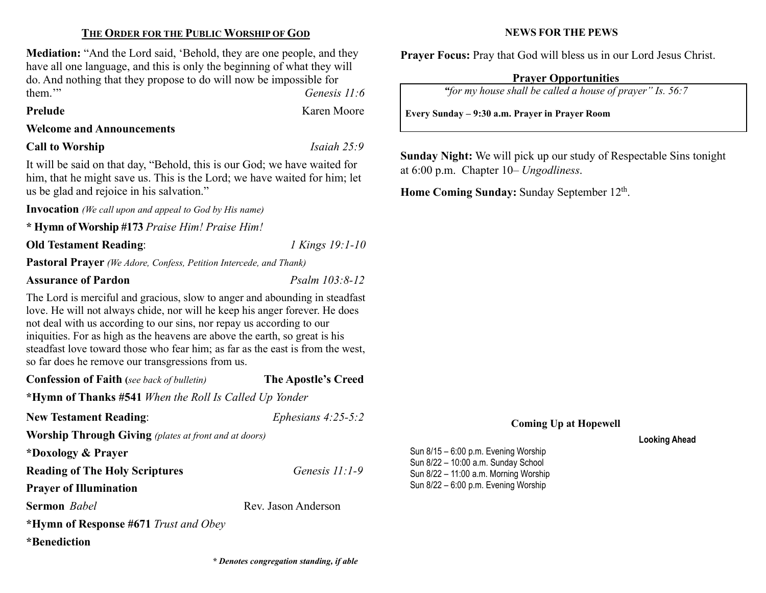# THE ORDER FOR THE PUBLIC WORSHIP OF GOD

Mediation: "And the Lord said, 'Behold, they are one people, and they have all one language, and this is only the beginning of what they will do. And nothing that they propose to do will now be impossible for them.'" Genesis 11:6

### Prelude Karen Moore

Welcome and Announcements

Call to Worship Isaiah 25:9

It will be said on that day, "Behold, this is our God; we have waited for him, that he might save us. This is the Lord; we have waited for him; let us be glad and rejoice in his salvation."

Invocation (We call upon and appeal to God by His name)

\* Hymn of Worship #173 Praise Him! Praise Him!

Old Testament Reading: 1 Kings 19:1-10

Pastoral Prayer (We Adore, Confess, Petition Intercede, and Thank)

# Assurance of Pardon Psalm 103:8-12

The Lord is merciful and gracious, slow to anger and abounding in steadfast love. He will not always chide, nor will he keep his anger forever. He does not deal with us according to our sins, nor repay us according to our iniquities. For as high as the heavens are above the earth, so great is his steadfast love toward those who fear him; as far as the east is from the west, so far does he remove our transgressions from us.

| <b>Confession of Faith</b> (see back of bulletin)              | The Apostle's Creed  |  |  |  |  |
|----------------------------------------------------------------|----------------------|--|--|--|--|
| * <b>Hymn of Thanks</b> #541 When the Roll Is Called Up Yonder |                      |  |  |  |  |
| <b>New Testament Reading:</b>                                  | Ephesians $4:25-5:2$ |  |  |  |  |
| <b>Worship Through Giving</b> (plates at front and at doors)   |                      |  |  |  |  |
| *Doxology & Prayer                                             |                      |  |  |  |  |
| <b>Reading of The Holy Scriptures</b>                          | Genesis $11:1-9$     |  |  |  |  |
| <b>Prayer of Illumination</b>                                  |                      |  |  |  |  |
| <b>Sermon</b> <i>Babel</i>                                     | Rev. Jason Anderson  |  |  |  |  |
| *Hymn of Response #671 Trust and Obey                          |                      |  |  |  |  |

\*Benediction

# NEWS FOR THE PEWS

Prayer Focus: Pray that God will bless us in our Lord Jesus Christ.

# Prayer Opportunities

"for my house shall be called a house of prayer" Is. 56:7

Every Sunday – 9:30 a.m. Prayer in Prayer Room

Sunday Night: We will pick up our study of Respectable Sins tonight at 6:00 p.m. Chapter 10– Ungodliness.

Home Coming Sunday: Sunday September 12<sup>th</sup>.

## Coming Up at Hopewell

Looking Ahead

Sun 8/15 – 6:00 p.m. Evening Worship Sun 8/22 – 10:00 a.m. Sunday School Sun 8/22 – 11:00 a.m. Morning Worship Sun 8/22 – 6:00 p.m. Evening Worship